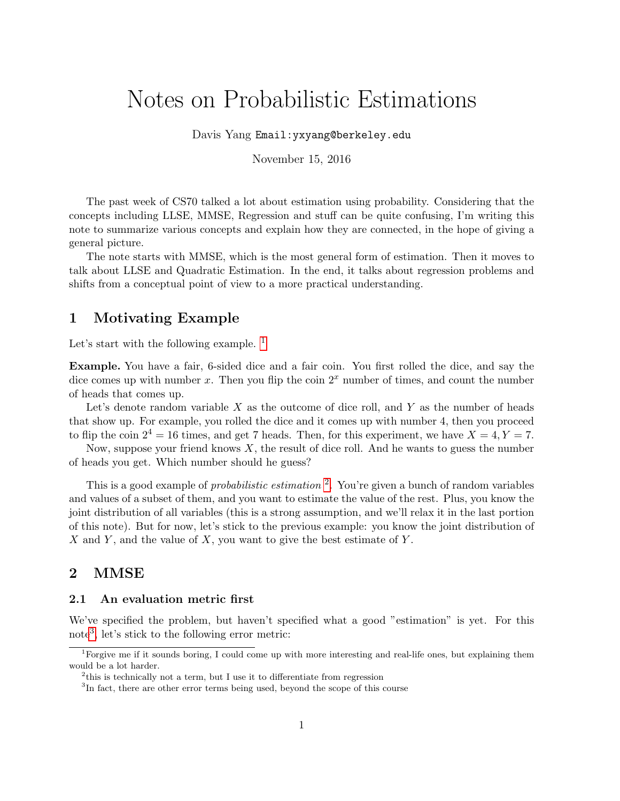# Notes on Probabilistic Estimations

Davis Yang Email:yxyang@berkeley.edu

November 15, 2016

The past week of CS70 talked a lot about estimation using probability. Considering that the concepts including LLSE, MMSE, Regression and stuff can be quite confusing, I'm writing this note to summarize various concepts and explain how they are connected, in the hope of giving a general picture.

The note starts with MMSE, which is the most general form of estimation. Then it moves to talk about LLSE and Quadratic Estimation. In the end, it talks about regression problems and shifts from a conceptual point of view to a more practical understanding.

# 1 Motivating Example

Let's start with the following example.  $<sup>1</sup>$  $<sup>1</sup>$  $<sup>1</sup>$ </sup>

Example. You have a fair, 6-sided dice and a fair coin. You first rolled the dice, and say the dice comes up with number x. Then you flip the coin  $2<sup>x</sup>$  number of times, and count the number of heads that comes up.

Let's denote random variable  $X$  as the outcome of dice roll, and  $Y$  as the number of heads that show up. For example, you rolled the dice and it comes up with number 4, then you proceed to flip the coin  $2^4 = 16$  times, and get 7 heads. Then, for this experiment, we have  $X = 4, Y = 7$ .

Now, suppose your friend knows  $X$ , the result of dice roll. And he wants to guess the number of heads you get. Which number should he guess?

This is a good example of *probabilistic estimation* <sup>[2](#page-0-1)</sup>. You're given a bunch of random variables and values of a subset of them, and you want to estimate the value of the rest. Plus, you know the joint distribution of all variables (this is a strong assumption, and we'll relax it in the last portion of this note). But for now, let's stick to the previous example: you know the joint distribution of X and Y, and the value of X, you want to give the best estimate of Y.

# 2 MMSE

#### 2.1 An evaluation metric first

We've specified the problem, but haven't specified what a good "estimation" is yet. For this note[3](#page-0-2) , let's stick to the following error metric:

<span id="page-0-0"></span><sup>1</sup>Forgive me if it sounds boring, I could come up with more interesting and real-life ones, but explaining them would be a lot harder.

<span id="page-0-1"></span><sup>&</sup>lt;sup>2</sup>this is technically not a term, but I use it to differentiate from regression

<span id="page-0-2"></span><sup>&</sup>lt;sup>3</sup>In fact, there are other error terms being used, beyond the scope of this course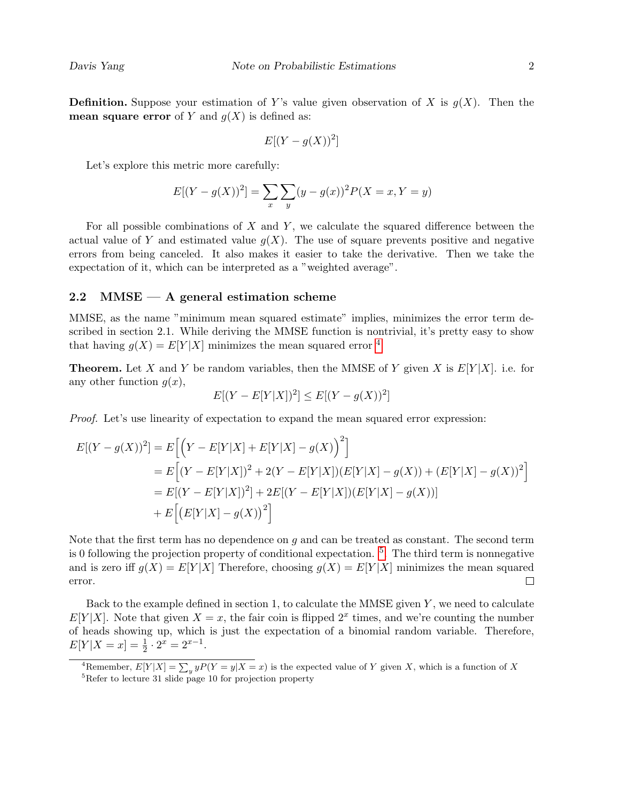**Definition.** Suppose your estimation of Y's value given observation of X is  $g(X)$ . Then the **mean square error** of Y and  $g(X)$  is defined as:

$$
E[(Y - g(X))^2]
$$

Let's explore this metric more carefully:

$$
E[(Y - g(X))^{2}] = \sum_{x} \sum_{y} (y - g(x))^{2} P(X = x, Y = y)
$$

For all possible combinations of  $X$  and  $Y$ , we calculate the squared difference between the actual value of Y and estimated value  $g(X)$ . The use of square prevents positive and negative errors from being canceled. It also makes it easier to take the derivative. Then we take the expectation of it, which can be interpreted as a "weighted average".

## 2.2 MMSE  $-$  A general estimation scheme

MMSE, as the name "minimum mean squared estimate" implies, minimizes the error term described in section 2.1. While deriving the MMSE function is nontrivial, it's pretty easy to show that having  $g(X) = E[Y|X]$  minimizes the mean squared error <sup>[4](#page-1-0)</sup>

**Theorem.** Let X and Y be random variables, then the MMSE of Y given X is  $E[Y|X]$ . i.e. for any other function  $q(x)$ ,

$$
E[(Y - E[Y|X])^{2}] \le E[(Y - g(X))^{2}]
$$

Proof. Let's use linearity of expectation to expand the mean squared error expression:

$$
E[(Y - g(X))^2] = E\Big[\Big(Y - E[Y|X] + E[Y|X] - g(X)\Big)^2\Big]
$$
  
= 
$$
E\Big[(Y - E[Y|X])^2 + 2(Y - E[Y|X])(E[Y|X] - g(X)) + (E[Y|X] - g(X))^2\Big]
$$
  
= 
$$
E[(Y - E[Y|X])^2] + 2E[(Y - E[Y|X])(E[Y|X] - g(X))]
$$
  
+ 
$$
E\Big[(E[Y|X] - g(X))^2\Big]
$$

Note that the first term has no dependence on  $q$  and can be treated as constant. The second term is 0 following the projection property of conditional expectation. [5](#page-1-1) . The third term is nonnegative and is zero iff  $g(X) = E[Y|X]$  Therefore, choosing  $g(X) = E[Y|X]$  minimizes the mean squared  $\Box$ error.

Back to the example defined in section 1, to calculate the MMSE given  $Y$ , we need to calculate  $E[Y|X]$ . Note that given  $X = x$ , the fair coin is flipped  $2^x$  times, and we're counting the number of heads showing up, which is just the expectation of a binomial random variable. Therefore,  $E[Y|X = x] = \frac{1}{2} \cdot 2^x = 2^{x-1}.$ 

<span id="page-1-0"></span><sup>&</sup>lt;sup>4</sup>Remember,  $E[Y|X] = \sum_{y} yP(Y=y|X=x)$  is the expected value of Y given X, which is a function of X

<span id="page-1-1"></span><sup>5</sup>Refer to lecture 31 slide page 10 for projection property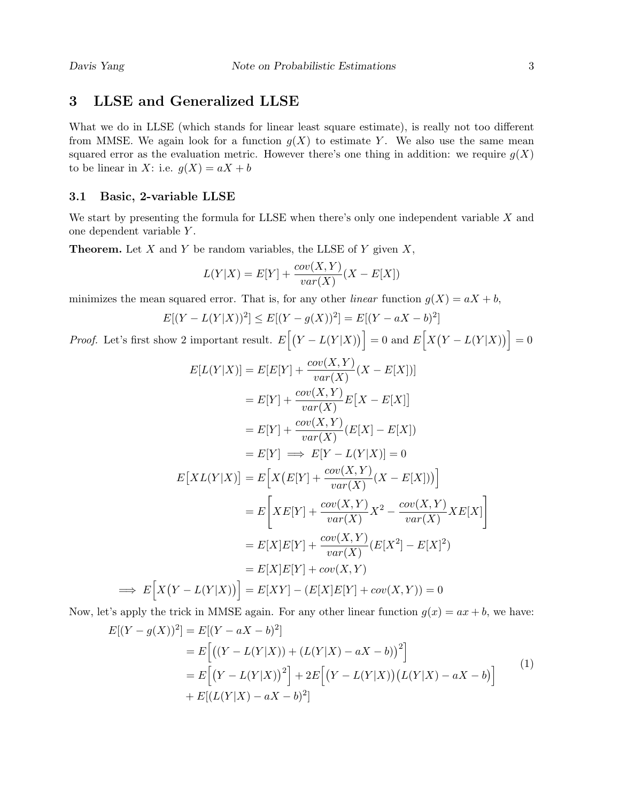# 3 LLSE and Generalized LLSE

What we do in LLSE (which stands for linear least square estimate), is really not too different from MMSE. We again look for a function  $g(X)$  to estimate Y. We also use the same mean squared error as the evaluation metric. However there's one thing in addition: we require  $g(X)$ to be linear in X: i.e.  $q(X) = aX + b$ 

## 3.1 Basic, 2-variable LLSE

 $\implies$ 

We start by presenting the formula for LLSE when there's only one independent variable  $X$  and one dependent variable Y .

**Theorem.** Let  $X$  and  $Y$  be random variables, the LLSE of  $Y$  given  $X$ ,

$$
L(Y|X) = E[Y] + \frac{cov(X, Y)}{var(X)}(X - E[X])
$$

minimizes the mean squared error. That is, for any other *linear* function  $g(X) = aX + b$ ,

$$
E[(Y - L(Y|X))^2] \le E[(Y - g(X))^2] = E[(Y - aX - b)^2]
$$

*Proof.* Let's first show 2 important result.  $E[(Y - L(Y|X))] = 0$  and  $E[X(Y - L(Y|X))] = 0$ 

$$
E[L(Y|X)] = E[E[Y] + \frac{cov(X,Y)}{var(X)}(X - E[X])]
$$
  
\n
$$
= E[Y] + \frac{cov(X,Y)}{var(X)}E[X - E[X]]
$$
  
\n
$$
= E[Y] + \frac{cov(X,Y)}{var(X)}(E[X] - E[X])
$$
  
\n
$$
= E[Y] \implies E[Y - L(Y|X)] = 0
$$
  
\n
$$
E[XL(Y|X)] = E[X(E[Y] + \frac{cov(X,Y)}{var(X)}(X - E[X]))]
$$
  
\n
$$
= E[XE[Y] + \frac{cov(X,Y)}{var(X)}X^{2} - \frac{cov(X,Y)}{var(X)}XE[X]]
$$
  
\n
$$
= E[X]E[Y] + \frac{cov(X,Y)}{var(X)}(E[X^{2}] - E[X]^{2})
$$
  
\n
$$
= E[X]E[Y] + cov(X,Y)
$$
  
\n
$$
E[X(Y - L(Y|X))] = E[XY] - (E[X]E[Y] + cov(X,Y)) = 0
$$

Now, let's apply the trick in MMSE again. For any other linear function  $g(x) = ax + b$ , we have:

$$
E[(Y - g(X))^2] = E[(Y - aX - b)^2]
$$
  
= 
$$
E[(Y - L(Y|X)) + (L(Y|X) - aX - b))^2]
$$
  
= 
$$
E[(Y - L(Y|X))^2] + 2E[(Y - L(Y|X))(L(Y|X) - aX - b)]
$$
  
+ 
$$
E[(L(Y|X) - aX - b)^2]
$$
 (1)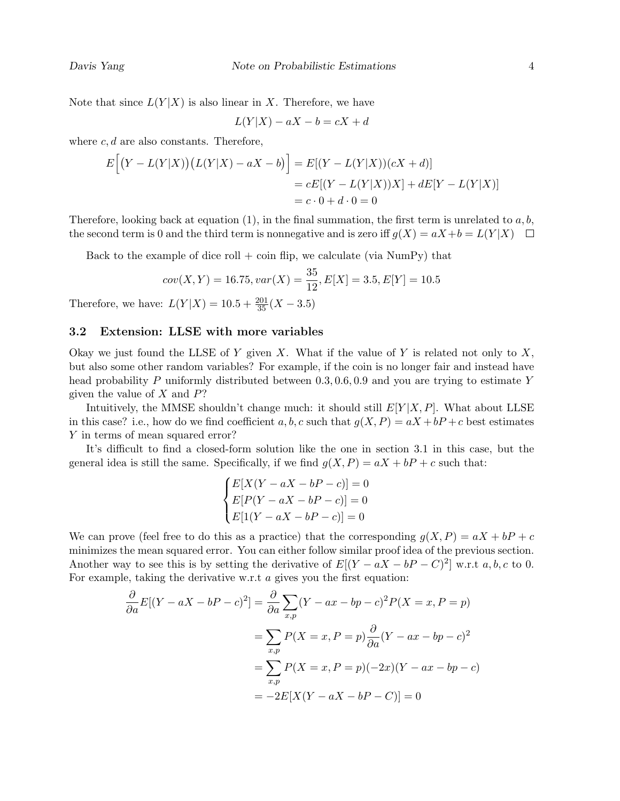Note that since  $L(Y|X)$  is also linear in X. Therefore, we have

$$
L(Y|X) - aX - b = cX + d
$$

where  $c, d$  are also constants. Therefore,

$$
E[(Y - L(Y|X))(L(Y|X) - aX - b)] = E[(Y - L(Y|X))(cX + d)]
$$
  
=  $cE[(Y - L(Y|X))X] + dE[Y - L(Y|X)]$   
=  $c \cdot 0 + d \cdot 0 = 0$ 

Therefore, looking back at equation  $(1)$ , in the final summation, the first term is unrelated to a, b, the second term is 0 and the third term is nonnegative and is zero iff  $g(X) = aX + b = L(Y|X)$ 

Back to the example of dice roll  $+$  coin flip, we calculate (via NumPy) that

$$
cov(X, Y) = 16.75, var(X) = \frac{35}{12}, E[X] = 3.5, E[Y] = 10.5
$$

Therefore, we have:  $L(Y|X) = 10.5 + \frac{201}{35}(X - 3.5)$ 

#### 3.2 Extension: LLSE with more variables

Okay we just found the LLSE of Y given X. What if the value of Y is related not only to X, but also some other random variables? For example, if the coin is no longer fair and instead have head probability P uniformly distributed between  $0.3, 0.6, 0.9$  and you are trying to estimate Y given the value of  $X$  and  $P$ ?

Intuitively, the MMSE shouldn't change much: it should still  $E[Y|X, P]$ . What about LLSE in this case? i.e., how do we find coefficient a, b, c such that  $g(X, P) = aX + bP + c$  best estimates Y in terms of mean squared error?

It's difficult to find a closed-form solution like the one in section 3.1 in this case, but the general idea is still the same. Specifically, if we find  $g(X, P) = aX + bP + c$  such that:

$$
\begin{cases} E[X(Y - aX - bP - c)] = 0\\ E[P(Y - aX - bP - c)] = 0\\ E[1(Y - aX - bP - c)] = 0 \end{cases}
$$

We can prove (feel free to do this as a practice) that the corresponding  $q(X, P) = aX + bP + c$ minimizes the mean squared error. You can either follow similar proof idea of the previous section. Another way to see this is by setting the derivative of  $E[(Y - aX - bP - C)^2]$  w.r.t  $a, b, c$  to 0. For example, taking the derivative w.r.t  $a$  gives you the first equation:

$$
\frac{\partial}{\partial a}E[(Y - aX - bP - c)^2] = \frac{\partial}{\partial a} \sum_{x,p} (Y - ax - bp - c)^2 P(X = x, P = p)
$$

$$
= \sum_{x,p} P(X = x, P = p) \frac{\partial}{\partial a} (Y - ax - bp - c)^2
$$

$$
= \sum_{x,p} P(X = x, P = p)(-2x)(Y - ax - bp - c)
$$

$$
= -2E[X(Y - aX - bP - C)] = 0
$$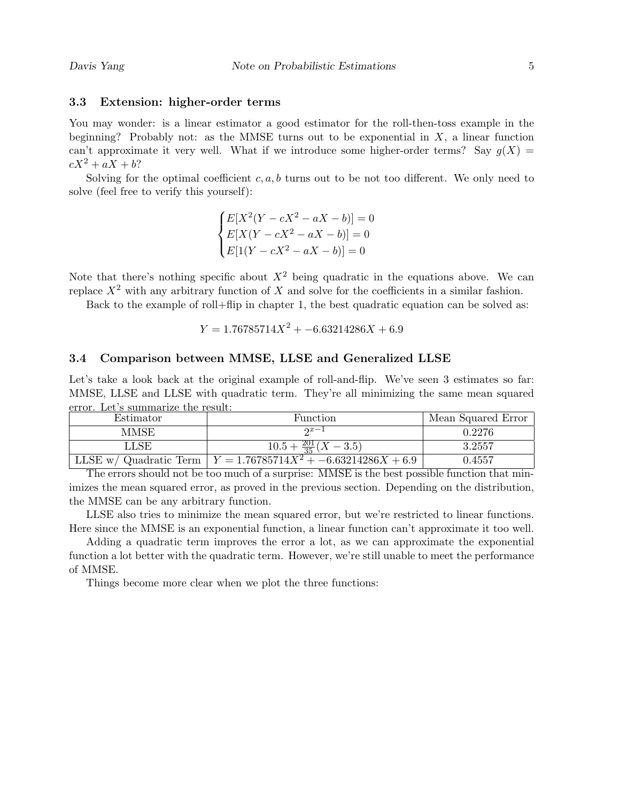### 3.3 Extension: higher-order terms

You may wonder: is a linear estimator a good estimator for the roll-then-toss example in the beginning? Probably not: as the MMSE turns out to be exponential in  $X$ , a linear function can't approximate it very well. What if we introduce some higher-order terms? Say  $g(X)$  =  $cX^2 + aX + b$ ?

Solving for the optimal coefficient  $c, a, b$  turns out to be not too different. We only need to solve (feel free to verify this yourself):

> $\sqrt{ }$  $\int$  $\overline{\mathcal{L}}$  $E[X^2(Y - cX^2 - aX - b)] = 0$  $E[X(Y - cX^2 - aX - b)] = 0$  $E[1(Y - cX^2 - aX - b)] = 0$

Note that there's nothing specific about  $X^2$  being quadratic in the equations above. We can replace  $X^2$  with any arbitrary function of X and solve for the coefficients in a similar fashion.

Back to the example of roll+flip in chapter 1, the best quadratic equation can be solved as:

$$
Y = 1.76785714X^2 + -6.63214286X + 6.9
$$

### 3.4 Comparison between MMSE, LLSE and Generalized LLSE

Let's take a look back at the original example of roll-and-flip. We've seen 3 estimates so far: MMSE, LLSE and LLSE with quadratic term. They're all minimizing the same mean squared error. Let's summarize the result:

| Estimator | Function                                                          | Mean Squared Error |
|-----------|-------------------------------------------------------------------|--------------------|
| MMSE      | $2x-1$                                                            | 0.2276             |
| LLSE      | $10.5 + \frac{201}{35}(X - 3.5)$                                  | 3.2557             |
|           | LLSE w/ Quadratic Term $Y = 1.76785714X^{2} + -6.63214286X + 6.9$ | 0.4557             |

The errors should not be too much of a surprise: MMSE is the best possible function that minimizes the mean squared error, as proved in the previous section. Depending on the distribution, the MMSE can be any arbitrary function.

LLSE also tries to minimize the mean squared error, but we're restricted to linear functions. Here since the MMSE is an exponential function, a linear function can't approximate it too well.

Adding a quadratic term improves the error a lot, as we can approximate the exponential function a lot better with the quadratic term. However, we're still unable to meet the performance of MMSE.

Things become more clear when we plot the three functions: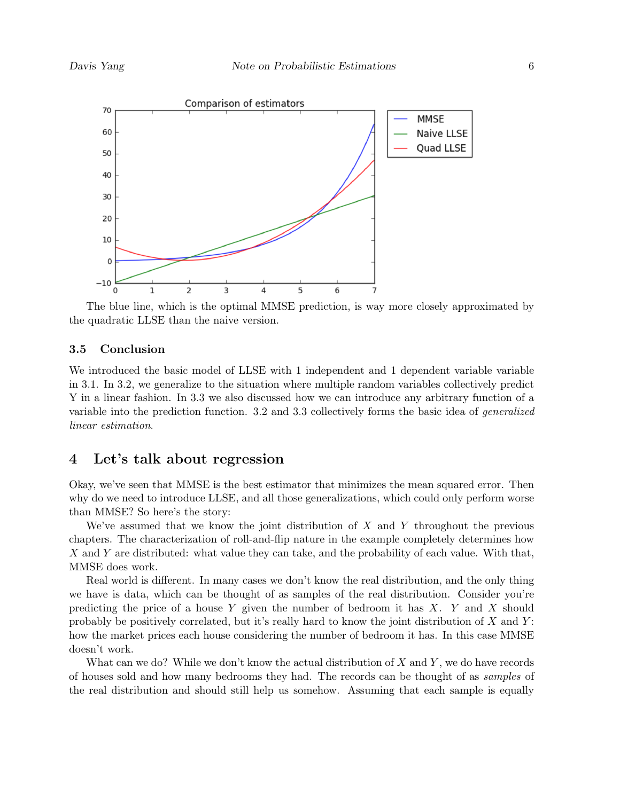

The blue line, which is the optimal MMSE prediction, is way more closely approximated by the quadratic LLSE than the naive version.

## 3.5 Conclusion

We introduced the basic model of LLSE with 1 independent and 1 dependent variable variable in 3.1. In 3.2, we generalize to the situation where multiple random variables collectively predict Y in a linear fashion. In 3.3 we also discussed how we can introduce any arbitrary function of a variable into the prediction function. 3.2 and 3.3 collectively forms the basic idea of generalized linear estimation.

## 4 Let's talk about regression

Okay, we've seen that MMSE is the best estimator that minimizes the mean squared error. Then why do we need to introduce LLSE, and all those generalizations, which could only perform worse than MMSE? So here's the story:

We've assumed that we know the joint distribution of  $X$  and  $Y$  throughout the previous chapters. The characterization of roll-and-flip nature in the example completely determines how X and Y are distributed: what value they can take, and the probability of each value. With that, MMSE does work.

Real world is different. In many cases we don't know the real distribution, and the only thing we have is data, which can be thought of as samples of the real distribution. Consider you're predicting the price of a house Y given the number of bedroom it has  $X$ . Y and X should probably be positively correlated, but it's really hard to know the joint distribution of  $X$  and  $Y$ : how the market prices each house considering the number of bedroom it has. In this case MMSE doesn't work.

What can we do? While we don't know the actual distribution of  $X$  and  $Y$ , we do have records of houses sold and how many bedrooms they had. The records can be thought of as samples of the real distribution and should still help us somehow. Assuming that each sample is equally